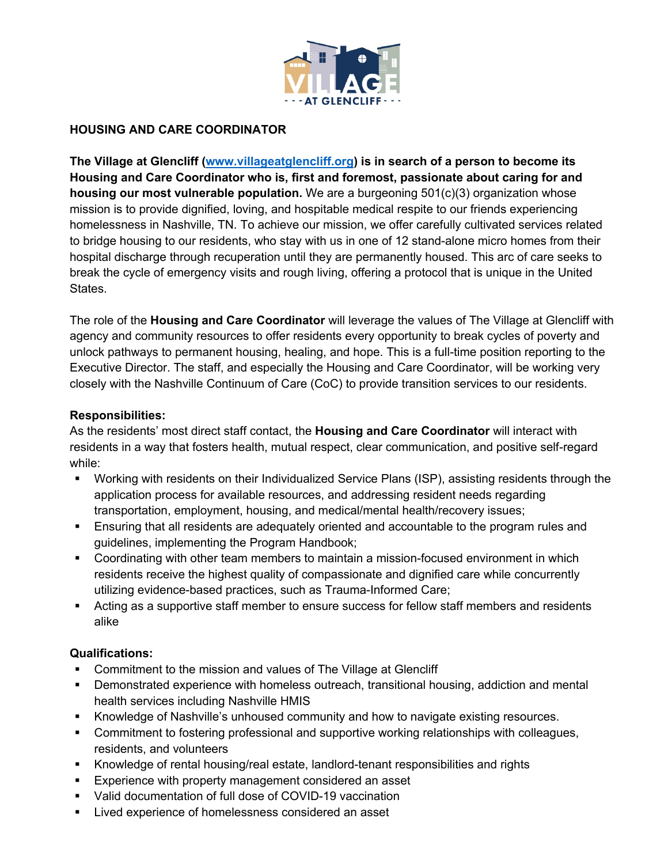

# **HOUSING AND CARE COORDINATOR**

**The Village at Glencliff (www.villageatglencliff.org) is in search of a person to become its Housing and Care Coordinator who is, first and foremost, passionate about caring for and housing our most vulnerable population.** We are a burgeoning 501(c)(3) organization whose mission is to provide dignified, loving, and hospitable medical respite to our friends experiencing homelessness in Nashville, TN. To achieve our mission, we offer carefully cultivated services related to bridge housing to our residents, who stay with us in one of 12 stand-alone micro homes from their hospital discharge through recuperation until they are permanently housed. This arc of care seeks to break the cycle of emergency visits and rough living, offering a protocol that is unique in the United States.

The role of the **Housing and Care Coordinator** will leverage the values of The Village at Glencliff with agency and community resources to offer residents every opportunity to break cycles of poverty and unlock pathways to permanent housing, healing, and hope. This is a full-time position reporting to the Executive Director. The staff, and especially the Housing and Care Coordinator, will be working very closely with the Nashville Continuum of Care (CoC) to provide transition services to our residents.

## **Responsibilities:**

As the residents' most direct staff contact, the **Housing and Care Coordinator** will interact with residents in a way that fosters health, mutual respect, clear communication, and positive self-regard while:

- § Working with residents on their Individualized Service Plans (ISP), assisting residents through the application process for available resources, and addressing resident needs regarding transportation, employment, housing, and medical/mental health/recovery issues;
- **Ensuring that all residents are adequately oriented and accountable to the program rules and** guidelines, implementing the Program Handbook;
- Coordinating with other team members to maintain a mission-focused environment in which residents receive the highest quality of compassionate and dignified care while concurrently utilizing evidence-based practices, such as Trauma-Informed Care;
- Acting as a supportive staff member to ensure success for fellow staff members and residents alike

## **Qualifications:**

- § Commitment to the mission and values of The Village at Glencliff
- § Demonstrated experience with homeless outreach, transitional housing, addiction and mental health services including Nashville HMIS
- § Knowledge of Nashville's unhoused community and how to navigate existing resources.
- § Commitment to fostering professional and supportive working relationships with colleagues, residents, and volunteers
- § Knowledge of rental housing/real estate, landlord-tenant responsibilities and rights
- Experience with property management considered an asset
- Valid documentation of full dose of COVID-19 vaccination
- Lived experience of homelessness considered an asset